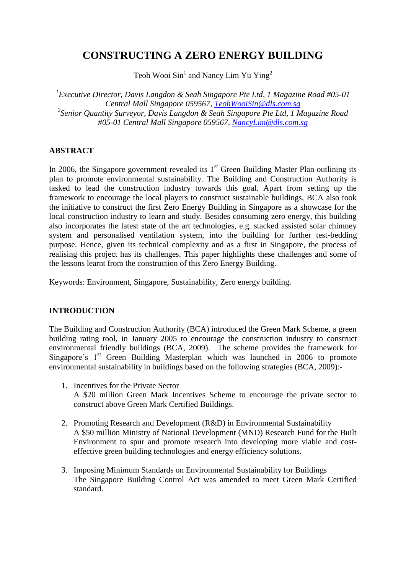# **CONSTRUCTING A ZERO ENERGY BUILDING**

Teoh Wooi  $\text{Sin}^1$  and Nancy Lim Yu Ying<sup>2</sup>

*1 Executive Director, Davis Langdon & Seah Singapore Pte Ltd, 1 Magazine Road #05-01 Central Mall Singapore 059567, [TeohWooiSin@dls.com.sg](mailto:TeohWooiSin@dls.com.sg) 2 Senior Quantity Surveyor, Davis Langdon & Seah Singapore Pte Ltd, 1 Magazine Road #05-01 Central Mall Singapore 059567, [NancyLim@dls.com.sg](mailto:NancyLim@dls.com.sg)*

### **ABSTRACT**

In 2006, the Singapore government revealed its  $1<sup>st</sup>$  Green Building Master Plan outlining its plan to promote environmental sustainability. The Building and Construction Authority is tasked to lead the construction industry towards this goal. Apart from setting up the framework to encourage the local players to construct sustainable buildings, BCA also took the initiative to construct the first Zero Energy Building in Singapore as a showcase for the local construction industry to learn and study. Besides consuming zero energy, this building also incorporates the latest state of the art technologies, e.g. stacked assisted solar chimney system and personalised ventilation system, into the building for further test-bedding purpose. Hence, given its technical complexity and as a first in Singapore, the process of realising this project has its challenges. This paper highlights these challenges and some of the lessons learnt from the construction of this Zero Energy Building.

Keywords: Environment, Singapore, Sustainability, Zero energy building.

### **INTRODUCTION**

The Building and Construction Authority (BCA) introduced the Green Mark Scheme, a green building rating tool, in January 2005 to encourage the construction industry to construct environmental friendly buildings (BCA, 2009). The scheme provides the framework for Singapore's  $1<sup>st</sup>$  Green Building Masterplan which was launched in 2006 to promote environmental sustainability in buildings based on the following strategies (BCA, 2009):-

- 1. Incentives for the Private Sector A \$20 million Green Mark Incentives Scheme to encourage the private sector to construct above Green Mark Certified Buildings.
- 2. Promoting Research and Development (R&D) in Environmental Sustainability A \$50 million Ministry of National Development (MND) Research Fund for the Built Environment to spur and promote research into developing more viable and costeffective green building technologies and energy efficiency solutions.
- 3. Imposing Minimum Standards on Environmental Sustainability for Buildings The Singapore Building Control Act was amended to meet Green Mark Certified standard.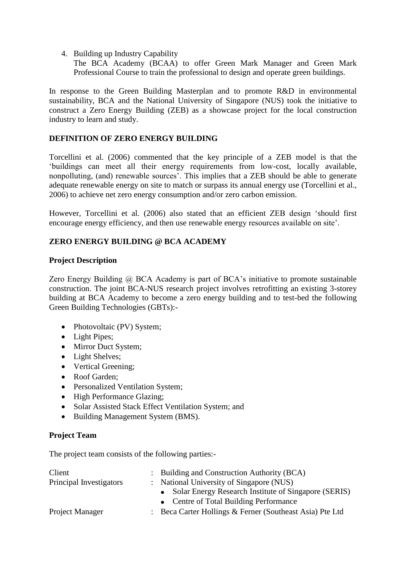4. Building up Industry Capability

The BCA Academy (BCAA) to offer Green Mark Manager and Green Mark Professional Course to train the professional to design and operate green buildings.

In response to the Green Building Masterplan and to promote R&D in environmental sustainability, BCA and the National University of Singapore (NUS) took the initiative to construct a Zero Energy Building (ZEB) as a showcase project for the local construction industry to learn and study.

### **DEFINITION OF ZERO ENERGY BUILDING**

Torcellini et al. (2006) commented that the key principle of a ZEB model is that the "buildings can meet all their energy requirements from low-cost, locally available, nonpolluting, (and) renewable sources'. This implies that a ZEB should be able to generate adequate renewable energy on site to match or surpass its annual energy use (Torcellini et al., 2006) to achieve net zero energy consumption and/or zero carbon emission.

However, Torcellini et al. (2006) also stated that an efficient ZEB design "should first encourage energy efficiency, and then use renewable energy resources available on site'.

### **ZERO ENERGY BUILDING @ BCA ACADEMY**

#### **Project Description**

Zero Energy Building @ BCA Academy is part of BCA's initiative to promote sustainable construction. The joint BCA-NUS research project involves retrofitting an existing 3-storey building at BCA Academy to become a zero energy building and to test-bed the following Green Building Technologies (GBTs):-

- Photovoltaic (PV) System;
- Light Pipes;
- Mirror Duct System;
- Light Shelves;
- Vertical Greening;
- Roof Garden:
- Personalized Ventilation System;
- High Performance Glazing;
- Solar Assisted Stack Effect Ventilation System; and
- Building Management System (BMS).

#### **Project Team**

The project team consists of the following parties:-

| Client                  | : Building and Construction Authority (BCA)              |  |
|-------------------------|----------------------------------------------------------|--|
| Principal Investigators | : National University of Singapore (NUS)                 |  |
|                         | • Solar Energy Research Institute of Singapore (SERIS)   |  |
|                         | • Centre of Total Building Performance                   |  |
| Project Manager         | : Beca Carter Hollings & Ferner (Southeast Asia) Pte Ltd |  |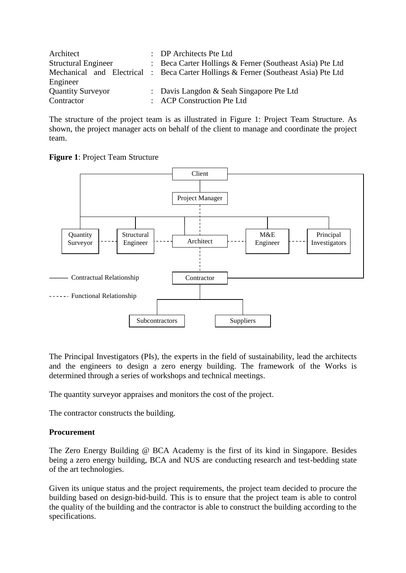| Architect                  | : DP Architects Pte Ltd                                                            |
|----------------------------|------------------------------------------------------------------------------------|
| <b>Structural Engineer</b> | : Beca Carter Hollings & Ferner (Southeast Asia) Pte Ltd                           |
|                            | Mechanical and Electrical : Beca Carter Hollings & Ferner (Southeast Asia) Pte Ltd |
| Engineer                   |                                                                                    |
| <b>Quantity Surveyor</b>   | : Davis Langdon & Seah Singapore Pte Ltd                                           |
| Contractor                 | : ACP Construction Pte Ltd                                                         |

The structure of the project team is as illustrated in Figure 1: Project Team Structure. As shown, the project manager acts on behalf of the client to manage and coordinate the project team.





The Principal Investigators (PIs), the experts in the field of sustainability, lead the architects and the engineers to design a zero energy building. The framework of the Works is determined through a series of workshops and technical meetings.

The quantity surveyor appraises and monitors the cost of the project.

The contractor constructs the building.

## **Procurement**

The Zero Energy Building @ BCA Academy is the first of its kind in Singapore. Besides being a zero energy building, BCA and NUS are conducting research and test-bedding state of the art technologies.

Given its unique status and the project requirements, the project team decided to procure the building based on design-bid-build. This is to ensure that the project team is able to control the quality of the building and the contractor is able to construct the building according to the specifications.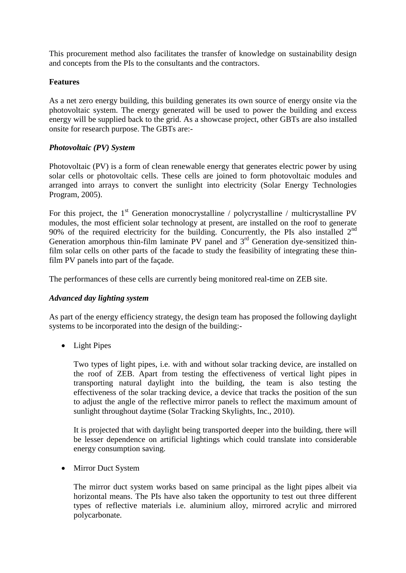This procurement method also facilitates the transfer of knowledge on sustainability design and concepts from the PIs to the consultants and the contractors.

#### **Features**

As a net zero energy building, this building generates its own source of energy onsite via the photovoltaic system. The energy generated will be used to power the building and excess energy will be supplied back to the grid. As a showcase project, other GBTs are also installed onsite for research purpose. The GBTs are:-

#### *Photovoltaic (PV) System*

Photovoltaic (PV) is a form of clean renewable energy that generates electric power by using solar cells or photovoltaic cells. These cells are joined to form photovoltaic modules and arranged into arrays to convert the sunlight into electricity (Solar Energy Technologies Program, 2005).

For this project, the  $1<sup>st</sup>$  Generation monocrystalline / polycrystalline / multicrystalline PV modules, the most efficient solar technology at present, are installed on the roof to generate 90% of the required electricity for the building. Concurrently, the PIs also installed  $2<sup>nd</sup>$ Generation amorphous thin-film laminate PV panel and 3<sup>rd</sup> Generation dye-sensitized thinfilm solar cells on other parts of the facade to study the feasibility of integrating these thinfilm PV panels into part of the façade.

The performances of these cells are currently being monitored real-time on ZEB site.

### *Advanced day lighting system*

As part of the energy efficiency strategy, the design team has proposed the following daylight systems to be incorporated into the design of the building:-

• Light Pipes

Two types of light pipes, i.e. with and without solar tracking device, are installed on the roof of ZEB. Apart from testing the effectiveness of vertical light pipes in transporting natural daylight into the building, the team is also testing the effectiveness of the solar tracking device, a device that tracks the position of the sun to adjust the angle of the reflective mirror panels to reflect the maximum amount of sunlight throughout daytime (Solar Tracking Skylights, Inc., 2010).

It is projected that with daylight being transported deeper into the building, there will be lesser dependence on artificial lightings which could translate into considerable energy consumption saving.

• Mirror Duct System

The mirror duct system works based on same principal as the light pipes albeit via horizontal means. The PIs have also taken the opportunity to test out three different types of reflective materials i.e. aluminium alloy, mirrored acrylic and mirrored polycarbonate.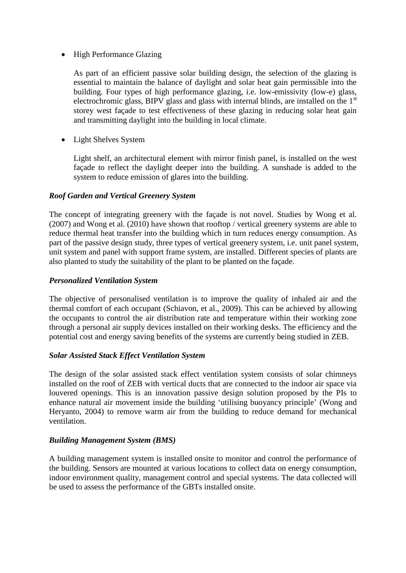### • High Performance Glazing

As part of an efficient passive solar building design, the selection of the glazing is essential to maintain the balance of daylight and solar heat gain permissible into the building. Four types of high performance glazing, i.e. low-emissivity (low-e) glass, electrochromic glass, BIPV glass and glass with internal blinds, are installed on the 1st storey west façade to test effectiveness of these glazing in reducing solar heat gain and transmitting daylight into the building in local climate.

• Light Shelves System

Light shelf, an architectural element with mirror finish panel, is installed on the west façade to reflect the daylight deeper into the building. A sunshade is added to the system to reduce emission of glares into the building.

#### *Roof Garden and Vertical Greenery System*

The concept of integrating greenery with the façade is not novel. Studies by Wong et al. (2007) and Wong et al. (2010) have shown that rooftop / vertical greenery systems are able to reduce thermal heat transfer into the building which in turn reduces energy consumption. As part of the passive design study, three types of vertical greenery system, i.e. unit panel system, unit system and panel with support frame system, are installed. Different species of plants are also planted to study the suitability of the plant to be planted on the façade.

#### *Personalized Ventilation System*

The objective of personalised ventilation is to improve the quality of inhaled air and the thermal comfort of each occupant (Schiavon, et al., 2009). This can be achieved by allowing the occupants to control the air distribution rate and temperature within their working zone through a personal air supply devices installed on their working desks. The efficiency and the potential cost and energy saving benefits of the systems are currently being studied in ZEB.

#### *Solar Assisted Stack Effect Ventilation System*

The design of the solar assisted stack effect ventilation system consists of solar chimneys installed on the roof of ZEB with vertical ducts that are connected to the indoor air space via louvered openings. This is an innovation passive design solution proposed by the PIs to enhance natural air movement inside the building "utilising buoyancy principle" (Wong and Heryanto, 2004) to remove warm air from the building to reduce demand for mechanical ventilation.

### *Building Management System (BMS)*

A building management system is installed onsite to monitor and control the performance of the building. Sensors are mounted at various locations to collect data on energy consumption, indoor environment quality, management control and special systems. The data collected will be used to assess the performance of the GBTs installed onsite.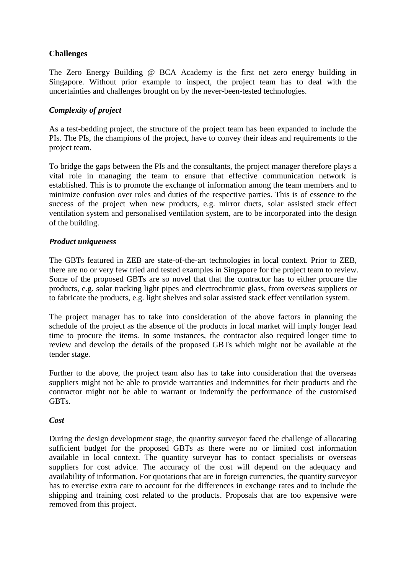### **Challenges**

The Zero Energy Building @ BCA Academy is the first net zero energy building in Singapore. Without prior example to inspect, the project team has to deal with the uncertainties and challenges brought on by the never-been-tested technologies.

#### *Complexity of project*

As a test-bedding project, the structure of the project team has been expanded to include the PIs. The PIs, the champions of the project, have to convey their ideas and requirements to the project team.

To bridge the gaps between the PIs and the consultants, the project manager therefore plays a vital role in managing the team to ensure that effective communication network is established. This is to promote the exchange of information among the team members and to minimize confusion over roles and duties of the respective parties. This is of essence to the success of the project when new products, e.g. mirror ducts, solar assisted stack effect ventilation system and personalised ventilation system, are to be incorporated into the design of the building.

#### *Product uniqueness*

The GBTs featured in ZEB are state-of-the-art technologies in local context. Prior to ZEB, there are no or very few tried and tested examples in Singapore for the project team to review. Some of the proposed GBTs are so novel that that the contractor has to either procure the products, e.g. solar tracking light pipes and electrochromic glass, from overseas suppliers or to fabricate the products, e.g. light shelves and solar assisted stack effect ventilation system.

The project manager has to take into consideration of the above factors in planning the schedule of the project as the absence of the products in local market will imply longer lead time to procure the items. In some instances, the contractor also required longer time to review and develop the details of the proposed GBTs which might not be available at the tender stage.

Further to the above, the project team also has to take into consideration that the overseas suppliers might not be able to provide warranties and indemnities for their products and the contractor might not be able to warrant or indemnify the performance of the customised GBTs.

#### *Cost*

During the design development stage, the quantity surveyor faced the challenge of allocating sufficient budget for the proposed GBTs as there were no or limited cost information available in local context. The quantity surveyor has to contact specialists or overseas suppliers for cost advice. The accuracy of the cost will depend on the adequacy and availability of information. For quotations that are in foreign currencies, the quantity surveyor has to exercise extra care to account for the differences in exchange rates and to include the shipping and training cost related to the products. Proposals that are too expensive were removed from this project.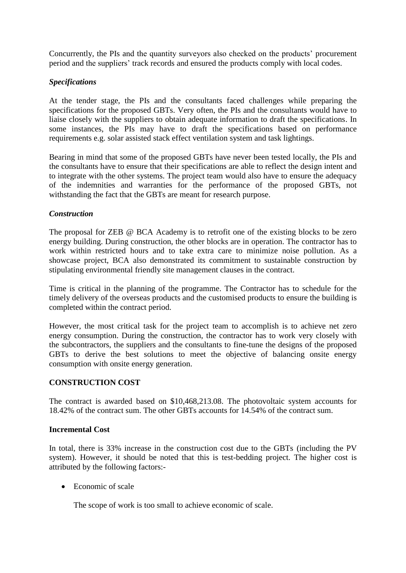Concurrently, the PIs and the quantity surveyors also checked on the products" procurement period and the suppliers' track records and ensured the products comply with local codes.

### *Specifications*

At the tender stage, the PIs and the consultants faced challenges while preparing the specifications for the proposed GBTs. Very often, the PIs and the consultants would have to liaise closely with the suppliers to obtain adequate information to draft the specifications. In some instances, the PIs may have to draft the specifications based on performance requirements e.g. solar assisted stack effect ventilation system and task lightings.

Bearing in mind that some of the proposed GBTs have never been tested locally, the PIs and the consultants have to ensure that their specifications are able to reflect the design intent and to integrate with the other systems. The project team would also have to ensure the adequacy of the indemnities and warranties for the performance of the proposed GBTs, not withstanding the fact that the GBTs are meant for research purpose.

### *Construction*

The proposal for ZEB @ BCA Academy is to retrofit one of the existing blocks to be zero energy building. During construction, the other blocks are in operation. The contractor has to work within restricted hours and to take extra care to minimize noise pollution. As a showcase project, BCA also demonstrated its commitment to sustainable construction by stipulating environmental friendly site management clauses in the contract.

Time is critical in the planning of the programme. The Contractor has to schedule for the timely delivery of the overseas products and the customised products to ensure the building is completed within the contract period.

However, the most critical task for the project team to accomplish is to achieve net zero energy consumption. During the construction, the contractor has to work very closely with the subcontractors, the suppliers and the consultants to fine-tune the designs of the proposed GBTs to derive the best solutions to meet the objective of balancing onsite energy consumption with onsite energy generation.

### **CONSTRUCTION COST**

The contract is awarded based on \$10,468,213.08. The photovoltaic system accounts for 18.42% of the contract sum. The other GBTs accounts for 14.54% of the contract sum.

### **Incremental Cost**

In total, there is 33% increase in the construction cost due to the GBTs (including the PV system). However, it should be noted that this is test-bedding project. The higher cost is attributed by the following factors:-

• Economic of scale

The scope of work is too small to achieve economic of scale.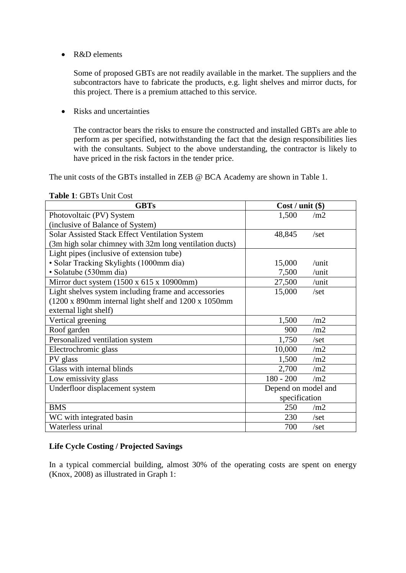• R&D elements

Some of proposed GBTs are not readily available in the market. The suppliers and the subcontractors have to fabricate the products, e.g. light shelves and mirror ducts, for this project. There is a premium attached to this service.

• Risks and uncertainties

The contractor bears the risks to ensure the constructed and installed GBTs are able to perform as per specified, notwithstanding the fact that the design responsibilities lies with the consultants. Subject to the above understanding, the contractor is likely to have priced in the risk factors in the tender price.

The unit costs of the GBTs installed in ZEB @ BCA Academy are shown in Table 1.

| <b>GBTs</b>                                             | $Cost / unit$ (\$)  |              |  |
|---------------------------------------------------------|---------------------|--------------|--|
| Photovoltaic (PV) System                                | 1,500               | /m2          |  |
| (inclusive of Balance of System)                        |                     |              |  |
| Solar Assisted Stack Effect Ventilation System          | 48,845              | $\sqrt{set}$ |  |
| (3m high solar chimney with 32m long ventilation ducts) |                     |              |  |
| Light pipes (inclusive of extension tube)               |                     |              |  |
| · Solar Tracking Skylights (1000mm dia)                 | 15,000              | /unit        |  |
| · Solatube (530mm dia)                                  | 7,500               | /unit        |  |
| Mirror duct system (1500 x 615 x 10900mm)               | 27,500              | /unit        |  |
| Light shelves system including frame and accessories    | 15,000              | /set         |  |
| (1200 x 890mm internal light shelf and 1200 x 1050mm    |                     |              |  |
| external light shelf)                                   |                     |              |  |
| Vertical greening                                       | 1,500               | /m2          |  |
| Roof garden                                             | 900                 | /m2          |  |
| Personalized ventilation system                         | 1,750               | $\sqrt{set}$ |  |
| Electrochromic glass                                    | 10,000              | /m2          |  |
| PV glass                                                | 1,500               | /m2          |  |
| Glass with internal blinds                              | 2,700               | /m2          |  |
| Low emissivity glass                                    | $180 - 200$         | /m2          |  |
| Underfloor displacement system                          | Depend on model and |              |  |
|                                                         | specification       |              |  |
| <b>BMS</b>                                              | 250                 | /m2          |  |
| WC with integrated basin                                | 230                 | /set         |  |
| Waterless urinal                                        | 700                 | /set         |  |

#### **Table 1**: GBTs Unit Cost

#### **Life Cycle Costing / Projected Savings**

In a typical commercial building, almost 30% of the operating costs are spent on energy (Knox, 2008) as illustrated in Graph 1: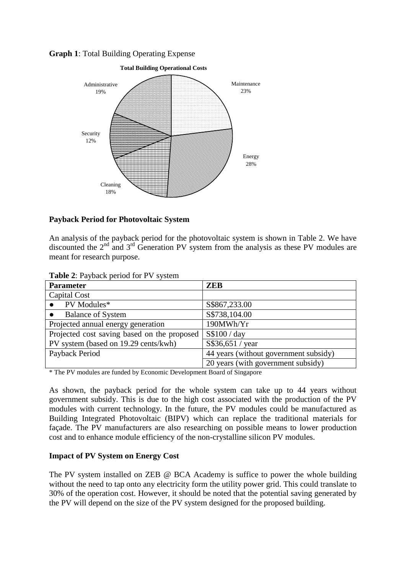**Graph 1**: Total Building Operating Expense



#### **Payback Period for Photovoltaic System**

An analysis of the payback period for the photovoltaic system is shown in Table 2. We have discounted the  $2<sup>nd</sup>$  and  $3<sup>rd</sup>$  Generation PV system from the analysis as these PV modules are meant for research purpose.

**Table 2**: Payback period for PV system

| <b>Parameter</b>                            | <b>ZEB</b>                            |  |  |
|---------------------------------------------|---------------------------------------|--|--|
| Capital Cost                                |                                       |  |  |
| PV Modules*                                 | S\$867,233.00                         |  |  |
| <b>Balance of System</b>                    | S\$738,104.00                         |  |  |
| Projected annual energy generation          | 190MWh/Yr                             |  |  |
| Projected cost saving based on the proposed | S\$100 / day                          |  |  |
| PV system (based on 19.29 cents/kwh)        | S\$36,651 / year                      |  |  |
| Payback Period                              | 44 years (without government subsidy) |  |  |
|                                             | 20 years (with government subsidy)    |  |  |

\* The PV modules are funded by Economic Development Board of Singapore

As shown, the payback period for the whole system can take up to 44 years without government subsidy. This is due to the high cost associated with the production of the PV modules with current technology. In the future, the PV modules could be manufactured as Building Integrated Photovoltaic (BIPV) which can replace the traditional materials for façade. The PV manufacturers are also researching on possible means to lower production cost and to enhance module efficiency of the non-crystalline silicon PV modules.

#### **Impact of PV System on Energy Cost**

The PV system installed on ZEB @ BCA Academy is suffice to power the whole building without the need to tap onto any electricity form the utility power grid. This could translate to 30% of the operation cost. However, it should be noted that the potential saving generated by the PV will depend on the size of the PV system designed for the proposed building.